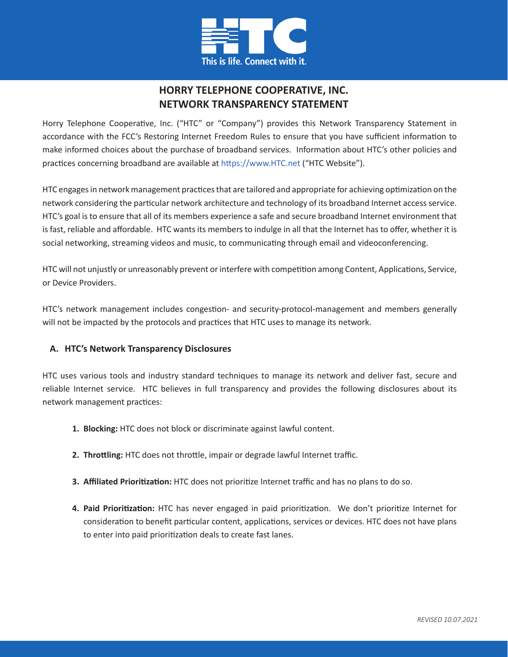

# **HORRY TELEPHONE COOPERATIVE, INC. NETWORK TRANSPARENCY STATEMENT**

Horry Telephone Cooperative, Inc. ("HTC" or "Company") provides this Network Transparency Statement in accordance with the FCC's Restoring Internet Freedom Rules to ensure that you have sufficient information to make informed choices about the purchase of broadband services. Information about HTC's other policies and practices concerning broadband are available at https://www.HTC.net ("HTC Website").

HTC engages in network management practices that are tailored and appropriate for achieving optimization on the network considering the particular network architecture and technology of its broadband Internet access service. HTC's goal is to ensure that all of its members experience a safe and secure broadband Internet environment that is fast, reliable and affordable. HTC wants its members to indulge in all that the Internet has to offer, whether it is social networking, streaming videos and music, to communicating through email and videoconferencing.

HTC will not unjustly or unreasonably prevent or interfere with competition among Content, Applications, Service, or Device Providers.

HTC's network management includes congestion- and security-protocol-management and members generally will not be impacted by the protocols and practices that HTC uses to manage its network.

## **A. HTC's Network Transparency Disclosures**

HTC uses various tools and industry standard techniques to manage its network and deliver fast, secure and reliable Internet service. HTC believes in full transparency and provides the following disclosures about its network management practices:

- **1. Blocking:** HTC does not block or discriminate against lawful content.
- **2. Throttling:** HTC does not throttle, impair or degrade lawful Internet traffic.
- **3. Affiliated Prioritization:** HTC does not prioritize Internet traffic and has no plans to do so.
- **4. Paid Prioritization:** HTC has never engaged in paid prioritization. We don't prioritize Internet for consideration to benefit particular content, applications, services or devices. HTC does not have plans to enter into paid prioritization deals to create fast lanes.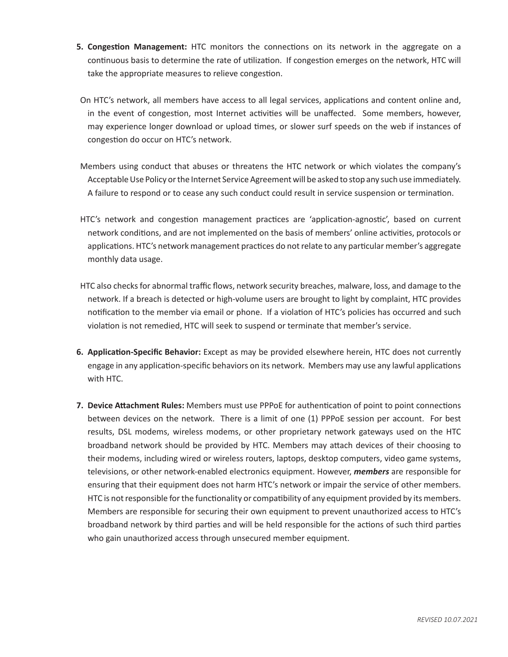- **5. Congestion Management:** HTC monitors the connections on its network in the aggregate on a continuous basis to determine the rate of utilization. If congestion emerges on the network, HTC will take the appropriate measures to relieve congestion.
- On HTC's network, all members have access to all legal services, applications and content online and, in the event of congestion, most Internet activities will be unaffected. Some members, however, may experience longer download or upload times, or slower surf speeds on the web if instances of congestion do occur on HTC's network.
- Members using conduct that abuses or threatens the HTC network or which violates the company's Acceptable Use Policy or the Internet Service Agreement will be asked to stop any such use immediately. A failure to respond or to cease any such conduct could result in service suspension or termination.
- HTC's network and congestion management practices are 'application-agnostic', based on current network conditions, and are not implemented on the basis of members' online activities, protocols or applications. HTC's network management practices do not relate to any particular member's aggregate monthly data usage.
- HTC also checks for abnormal traffic flows, network security breaches, malware, loss, and damage to the network. If a breach is detected or high-volume users are brought to light by complaint, HTC provides notification to the member via email or phone. If a violation of HTC's policies has occurred and such violation is not remedied, HTC will seek to suspend or terminate that member's service.
- **6. Application-Specific Behavior:** Except as may be provided elsewhere herein, HTC does not currently engage in any application-specific behaviors on its network. Members may use any lawful applications with HTC.
- **7. Device Attachment Rules:** Members must use PPPoE for authentication of point to point connections between devices on the network. There is a limit of one (1) PPPoE session per account. For best results, DSL modems, wireless modems, or other proprietary network gateways used on the HTC broadband network should be provided by HTC. Members may attach devices of their choosing to their modems, including wired or wireless routers, laptops, desktop computers, video game systems, televisions, or other network-enabled electronics equipment. However, *members* are responsible for ensuring that their equipment does not harm HTC's network or impair the service of other members. HTC is not responsible for the functionality or compatibility of any equipment provided by its members. Members are responsible for securing their own equipment to prevent unauthorized access to HTC's broadband network by third parties and will be held responsible for the actions of such third parties who gain unauthorized access through unsecured member equipment.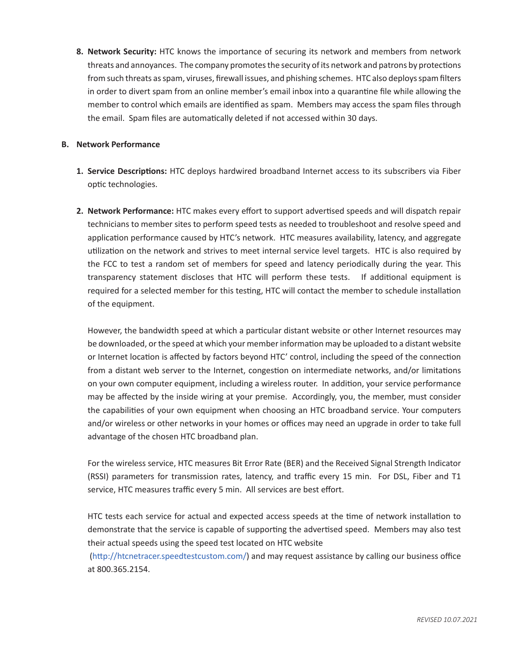**8. Network Security:** HTC knows the importance of securing its network and members from network threats and annoyances. The company promotes the security of its network and patrons by protections from such threats as spam, viruses, firewall issues, and phishing schemes. HTC also deploys spam filters in order to divert spam from an online member's email inbox into a quarantine file while allowing the member to control which emails are identified as spam. Members may access the spam files through the email. Spam files are automatically deleted if not accessed within 30 days.

#### **B. Network Performance**

- **1. Service Descriptions:** HTC deploys hardwired broadband Internet access to its subscribers via Fiber optic technologies.
- **2. Network Performance:** HTC makes every effort to support advertised speeds and will dispatch repair technicians to member sites to perform speed tests as needed to troubleshoot and resolve speed and application performance caused by HTC's network. HTC measures availability, latency, and aggregate utilization on the network and strives to meet internal service level targets. HTC is also required by the FCC to test a random set of members for speed and latency periodically during the year. This transparency statement discloses that HTC will perform these tests. If additional equipment is required for a selected member for this testing, HTC will contact the member to schedule installation of the equipment.

However, the bandwidth speed at which a particular distant website or other Internet resources may be downloaded, or the speed at which your member information may be uploaded to a distant website or Internet location is affected by factors beyond HTC' control, including the speed of the connection from a distant web server to the Internet, congestion on intermediate networks, and/or limitations on your own computer equipment, including a wireless router. In addition, your service performance may be affected by the inside wiring at your premise. Accordingly, you, the member, must consider the capabilities of your own equipment when choosing an HTC broadband service. Your computers and/or wireless or other networks in your homes or offices may need an upgrade in order to take full advantage of the chosen HTC broadband plan.

For the wireless service, HTC measures Bit Error Rate (BER) and the Received Signal Strength Indicator (RSSI) parameters for transmission rates, latency, and traffic every 15 min. For DSL, Fiber and T1 service, HTC measures traffic every 5 min. All services are best effort.

HTC tests each service for actual and expected access speeds at the time of network installation to demonstrate that the service is capable of supporting the advertised speed. Members may also test their actual speeds using the speed test located on HTC website

 (http://htcnetracer.speedtestcustom.com/) and may request assistance by calling our business office at 800.365.2154.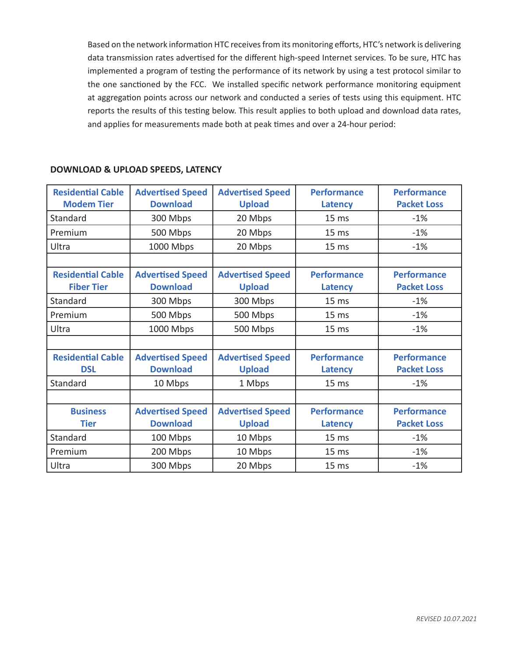Based on the network information HTC receives from its monitoring efforts, HTC's network is delivering data transmission rates advertised for the different high-speed Internet services. To be sure, HTC has implemented a program of testing the performance of its network by using a test protocol similar to the one sanctioned by the FCC. We installed specific network performance monitoring equipment at aggregation points across our network and conducted a series of tests using this equipment. HTC reports the results of this testing below. This result applies to both upload and download data rates, and applies for measurements made both at peak times and over a 24-hour period:

| <b>Residential Cable</b><br><b>Modem Tier</b> | <b>Advertised Speed</b><br><b>Download</b> | <b>Advertised Speed</b><br><b>Upload</b> | <b>Performance</b><br>Latency | <b>Performance</b><br><b>Packet Loss</b> |
|-----------------------------------------------|--------------------------------------------|------------------------------------------|-------------------------------|------------------------------------------|
| Standard                                      | 300 Mbps                                   | 20 Mbps                                  | 15 <sub>ms</sub>              | $-1%$                                    |
| Premium                                       | 500 Mbps                                   | 20 Mbps                                  | 15 <sub>ms</sub>              | $-1%$                                    |
| Ultra                                         | 1000 Mbps                                  | 20 Mbps                                  | 15 <sub>ms</sub>              | $-1%$                                    |
|                                               |                                            |                                          |                               |                                          |
| <b>Residential Cable</b>                      | <b>Advertised Speed</b>                    | <b>Advertised Speed</b>                  | <b>Performance</b>            | <b>Performance</b>                       |
| <b>Fiber Tier</b>                             | <b>Download</b>                            | <b>Upload</b>                            | <b>Latency</b>                | <b>Packet Loss</b>                       |
| Standard                                      | 300 Mbps                                   | 300 Mbps                                 | 15 <sub>ms</sub>              | $-1%$                                    |
| Premium                                       | 500 Mbps                                   | 500 Mbps                                 | 15 <sub>ms</sub>              | $-1%$                                    |
| Ultra                                         | 1000 Mbps                                  | 500 Mbps                                 | 15 <sub>ms</sub>              | $-1%$                                    |
|                                               |                                            |                                          |                               |                                          |
| <b>Residential Cable</b>                      | <b>Advertised Speed</b>                    | <b>Advertised Speed</b>                  | <b>Performance</b>            | <b>Performance</b>                       |
| <b>DSL</b>                                    | <b>Download</b>                            | <b>Upload</b>                            | Latency                       | <b>Packet Loss</b>                       |
| Standard                                      | 10 Mbps                                    | 1 Mbps                                   | 15 <sub>ms</sub>              | $-1%$                                    |
|                                               |                                            |                                          |                               |                                          |
| <b>Business</b>                               | <b>Advertised Speed</b>                    | <b>Advertised Speed</b>                  | <b>Performance</b>            | <b>Performance</b>                       |
| <b>Tier</b>                                   | <b>Download</b>                            | <b>Upload</b>                            | <b>Latency</b>                | <b>Packet Loss</b>                       |
| Standard                                      | 100 Mbps                                   | 10 Mbps                                  | 15 <sub>ms</sub>              | $-1%$                                    |
| Premium                                       | 200 Mbps                                   | 10 Mbps                                  | 15 <sub>ms</sub>              | $-1%$                                    |
| Ultra                                         | 300 Mbps                                   | 20 Mbps                                  | 15 <sub>ms</sub>              | $-1%$                                    |

## **DOWNLOAD & UPLOAD SPEEDS, LATENCY**